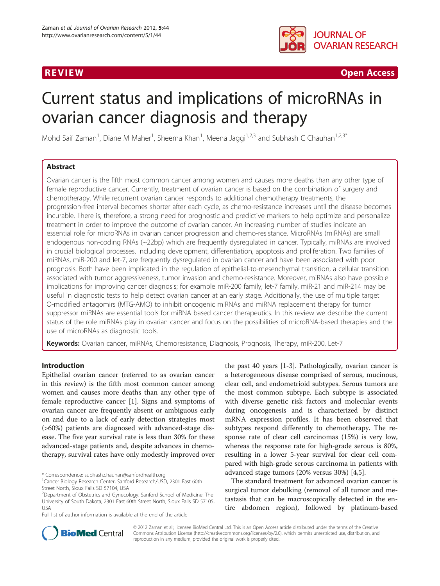

R EVI EW Open Access

# Current status and implications of microRNAs in ovarian cancer diagnosis and therapy

Mohd Saif Zaman<sup>1</sup>, Diane M Maher<sup>1</sup>, Sheema Khan<sup>1</sup>, Meena Jaggi<sup>1,2,3</sup> and Subhash C Chauhan<sup>1,2,3\*</sup>

# Abstract

Ovarian cancer is the fifth most common cancer among women and causes more deaths than any other type of female reproductive cancer. Currently, treatment of ovarian cancer is based on the combination of surgery and chemotherapy. While recurrent ovarian cancer responds to additional chemotherapy treatments, the progression-free interval becomes shorter after each cycle, as chemo-resistance increases until the disease becomes incurable. There is, therefore, a strong need for prognostic and predictive markers to help optimize and personalize treatment in order to improve the outcome of ovarian cancer. An increasing number of studies indicate an essential role for microRNAs in ovarian cancer progression and chemo-resistance. MicroRNAs (miRNAs) are small endogenous non-coding RNAs (~22bp) which are frequently dysregulated in cancer. Typically, miRNAs are involved in crucial biological processes, including development, differentiation, apoptosis and proliferation. Two families of miRNAs, miR-200 and let-7, are frequently dysregulated in ovarian cancer and have been associated with poor prognosis. Both have been implicated in the regulation of epithelial-to-mesenchymal transition, a cellular transition associated with tumor aggressiveness, tumor invasion and chemo-resistance. Moreover, miRNAs also have possible implications for improving cancer diagnosis; for example miR-200 family, let-7 family, miR-21 and miR-214 may be useful in diagnostic tests to help detect ovarian cancer at an early stage. Additionally, the use of multiple target O-modified antagomirs (MTG-AMO) to inhibit oncogenic miRNAs and miRNA replacement therapy for tumor suppressor miRNAs are essential tools for miRNA based cancer therapeutics. In this review we describe the current status of the role miRNAs play in ovarian cancer and focus on the possibilities of microRNA-based therapies and the use of microRNAs as diagnostic tools.

Keywords: Ovarian cancer, miRNAs, Chemoresistance, Diagnosis, Prognosis, Therapy, miR-200, Let-7

# Introduction

Epithelial ovarian cancer (referred to as ovarian cancer in this review) is the fifth most common cancer among women and causes more deaths than any other type of female reproductive cancer [[1](#page-7-0)]. Signs and symptoms of ovarian cancer are frequently absent or ambiguous early on and due to a lack of early detection strategies most (>60%) patients are diagnosed with advanced-stage disease. The five year survival rate is less than 30% for these advanced-stage patients and, despite advances in chemotherapy, survival rates have only modestly improved over

\* Correspondence: [subhash.chauhan@sanfordhealth.org](mailto:subhash.chauhan@sanfordhealth.org) <sup>1</sup>

Full list of author information is available at the end of the article

the past 40 years [[1-3](#page-7-0)]. Pathologically, ovarian cancer is a heterogeneous disease comprised of serous, mucinous, clear cell, and endometrioid subtypes. Serous tumors are the most common subtype. Each subtype is associated with diverse genetic risk factors and molecular events during oncogenesis and is characterized by distinct mRNA expression profiles. It has been observed that subtypes respond differently to chemotherapy. The response rate of clear cell carcinomas (15%) is very low, whereas the response rate for high-grade serous is 80%, resulting in a lower 5-year survival for clear cell compared with high-grade serous carcinoma in patients with advanced stage tumors (20% versus 30%) [\[4](#page-7-0)[,5](#page-8-0)].

The standard treatment for advanced ovarian cancer is surgical tumor debulking (removal of all tumor and metastasis that can be macroscopically detected in the entire abdomen region), followed by platinum-based



© 2012 Zaman et al.; licensee BioMed Central Ltd. This is an Open Access article distributed under the terms of the Creative Commons Attribution License [\(http://creativecommons.org/licenses/by/2.0\)](http://creativecommons.org/licenses/by/2.0), which permits unrestricted use, distribution, and reproduction in any medium, provided the original work is properly cited.

Cancer Biology Research Center, Sanford Research/USD, 2301 East 60th Street North, Sioux Falls SD 57104, USA

<sup>&</sup>lt;sup>2</sup>Department of Obstetrics and Gynecology, Sanford School of Medicine, The University of South Dakota, 2301 East 60th Street North, Sioux Falls SD 57105, USA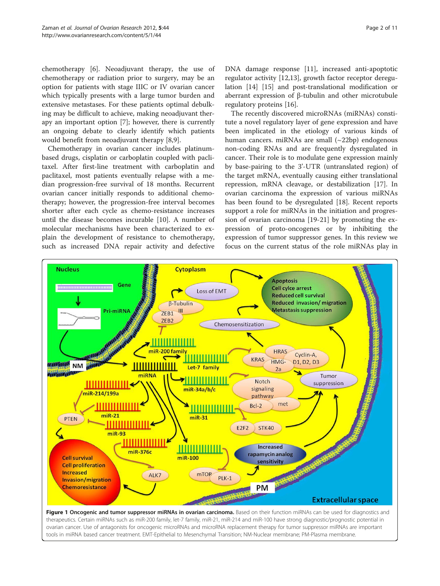<span id="page-1-0"></span>chemotherapy [\[6](#page-8-0)]. Neoadjuvant therapy, the use of chemotherapy or radiation prior to surgery, may be an option for patients with stage IIIC or IV ovarian cancer which typically presents with a large tumor burden and extensive metastases. For these patients optimal debulking may be difficult to achieve, making neoadjuvant therapy an important option [[7\]](#page-8-0); however, there is currently an ongoing debate to clearly identify which patients would benefit from neoadjuvant therapy [[8,9\]](#page-8-0).

Chemotherapy in ovarian cancer includes platinumbased drugs, cisplatin or carboplatin coupled with paclitaxel. After first-line treatment with carboplatin and paclitaxel, most patients eventually relapse with a median progression-free survival of 18 months. Recurrent ovarian cancer initially responds to additional chemotherapy; however, the progression-free interval becomes shorter after each cycle as chemo-resistance increases until the disease becomes incurable [\[10](#page-8-0)]. A number of molecular mechanisms have been characterized to explain the development of resistance to chemotherapy, such as increased DNA repair activity and defective

DNA damage response [\[11](#page-8-0)], increased anti-apoptotic regulator activity [[12](#page-8-0),[13](#page-8-0)], growth factor receptor deregulation [\[14](#page-8-0)] [[15\]](#page-8-0) and post-translational modification or aberrant expression of β-tubulin and other microtubule regulatory proteins [[16](#page-8-0)].

The recently discovered microRNAs (miRNAs) constitute a novel regulatory layer of gene expression and have been implicated in the etiology of various kinds of human cancers. miRNAs are small (~22bp) endogenous non-coding RNAs and are frequently dysregulated in cancer. Their role is to modulate gene expression mainly by base-pairing to the 3'-UTR (untranslated region) of the target mRNA, eventually causing either translational repression, mRNA cleavage, or destabilization [[17](#page-8-0)]. In ovarian carcinoma the expression of various miRNAs has been found to be dysregulated [\[18](#page-8-0)]. Recent reports support a role for miRNAs in the initiation and progression of ovarian carcinoma [[19](#page-8-0)-[21\]](#page-8-0) by promoting the expression of proto-oncogenes or by inhibiting the expression of tumor suppressor genes. In this review we focus on the current status of the role miRNAs play in

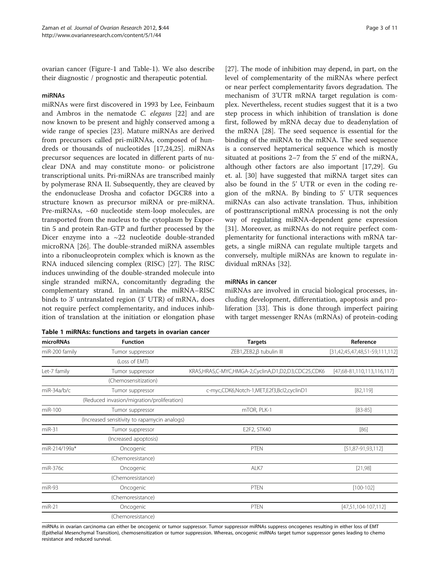<span id="page-2-0"></span>ovarian cancer (Figure[-1](#page-1-0) and Table-1). We also describe their diagnostic / prognostic and therapeutic potential.

#### miRNAs

miRNAs were first discovered in 1993 by Lee, Feinbaum and Ambros in the nematode C. elegans [\[22](#page-8-0)] and are now known to be present and highly conserved among a wide range of species [[23\]](#page-8-0). Mature miRNAs are derived from precursors called pri-miRNAs, composed of hundreds or thousands of nucleotides [\[17,24,25](#page-8-0)]. miRNAs precursor sequences are located in different parts of nuclear DNA and may constitute mono- or policistrone transcriptional units. Pri-miRNAs are transcribed mainly by polymerase RNA II. Subsequently, they are cleaved by the endonuclease Drosha and cofactor DGCR8 into a structure known as precursor miRNA or pre-miRNA. Pre-miRNAs, ~60 nucleotide stem-loop molecules, are transported from the nucleus to the cytoplasm by Exportin 5 and protein Ran-GTP and further processed by the Dicer enzyme into a ~22 nucleotide double-stranded microRNA [[26](#page-8-0)]. The double-stranded miRNA assembles into a ribonucleoprotein complex which is known as the RNA induced silencing complex (RISC) [\[27](#page-8-0)]. The RISC induces unwinding of the double-stranded molecule into single stranded miRNA, concomitantly degrading the complementary strand. In animals the miRNA–RISC binds to 3' untranslated region (3' UTR) of mRNA, does not require perfect complementarity, and induces inhibition of translation at the initiation or elongation phase

|  | Table 1 miRNAs: functions and targets in ovarian cancer |  |  |  |  |
|--|---------------------------------------------------------|--|--|--|--|
|--|---------------------------------------------------------|--|--|--|--|

[[27\]](#page-8-0). The mode of inhibition may depend, in part, on the level of complementarity of the miRNAs where perfect or near perfect complementarity favors degradation. The mechanism of 3'UTR mRNA target regulation is complex. Nevertheless, recent studies suggest that it is a two step process in which inhibition of translation is done first, followed by mRNA decay due to deadenylation of the mRNA [[28\]](#page-8-0). The seed sequence is essential for the binding of the miRNA to the mRNA. The seed sequence is a conserved heptamerical sequence which is mostly situated at positions 2–7 from the 5' end of the miRNA, although other factors are also important [[17](#page-8-0),[29](#page-8-0)]. Gu et. al. [\[30\]](#page-8-0) have suggested that miRNA target sites can also be found in the 5' UTR or even in the coding region of the mRNA. By binding to 5' UTR sequences miRNAs can also activate translation. Thus, inhibition of posttranscriptional mRNA processing is not the only way of regulating miRNA-dependent gene expression [[31\]](#page-8-0). Moreover, as miRNAs do not require perfect complementarity for functional interactions with mRNA targets, a single miRNA can regulate multiple targets and conversely, multiple miRNAs are known to regulate individual mRNAs [\[32](#page-8-0)].

### miRNAs in cancer

miRNAs are involved in crucial biological processes, including development, differentiation, apoptosis and proliferation [\[33](#page-8-0)]. This is done through imperfect pairing with target messenger RNAs (mRNAs) of protein-coding

| microRNAs      | <b>Function</b>                              | <b>Targets</b>                                     | Reference                        |
|----------------|----------------------------------------------|----------------------------------------------------|----------------------------------|
| miR-200 family | Tumor suppressor                             | ZEB1,ZEB2,B tubulin III                            | $[31,42,45,47,48,51-59,111,112]$ |
|                | (Loss of EMT)                                |                                                    |                                  |
| Let-7 family   | Tumor suppressor                             | KRAS,HRAS,C-MYC,HMGA-2,CyclinA,D1,D2,D3,CDC25,CDK6 | $[47,68-81,110,113,116,117]$     |
|                | (Chemosensitization)                         |                                                    |                                  |
| $miR-34a/b/c$  | Tumor suppressor                             | c-myc,CDK6,Notch-1,MET,E2f3,Bcl2,cyclinD1          | [82, 119]                        |
|                | (Reduced invasion/migration/proliferation)   |                                                    |                                  |
| $miR-100$      | Tumor suppressor                             | mTOR, PLK-1                                        | $[83 - 85]$                      |
|                | (Increased sensitivity to rapamycin analogs) |                                                    |                                  |
| $miR-31$       | Tumor suppressor                             | E2F2, STK40                                        | [86]                             |
|                | (Increased apoptosis)                        |                                                    |                                  |
| miR-214/199a*  | Oncogenic                                    | PTEN                                               | $[51, 87 - 91, 93, 112]$         |
|                | (Chemoresistance)                            |                                                    |                                  |
| miR-376c       | Oncogenic                                    | ALK7                                               | [21,98]                          |
|                | (Chemoresistance)                            |                                                    |                                  |
| miR-93         | Oncogenic                                    | PTEN                                               | $[100-102]$                      |
|                | (Chemoresistance)                            |                                                    |                                  |
| $miR-21$       | Oncogenic                                    | PTEN                                               | $[47,51,104-107,112]$            |
|                | (Chemoresistance)                            |                                                    |                                  |

miRNAs in ovarian carcinoma can either be oncogenic or tumor suppressor. Tumor suppressor miRNAs suppress oncogenes resulting in either loss of EMT (Epithelial Mesenchymal Transition), chemosensitization or tumor suppression. Whereas, oncogenic miRNAs target tumor suppressor genes leading to chemo resistance and reduced survival.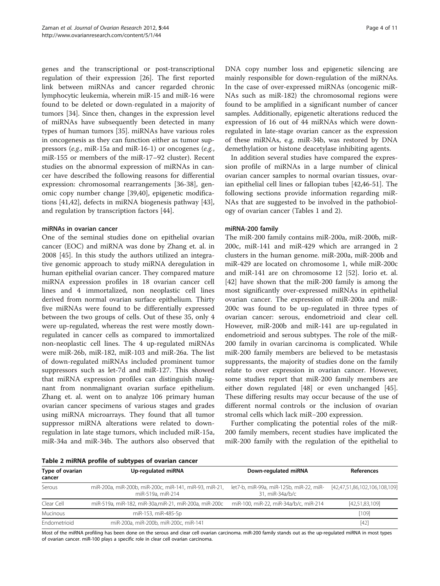<span id="page-3-0"></span>genes and the transcriptional or post-transcriptional regulation of their expression [[26](#page-8-0)]. The first reported link between miRNAs and cancer regarded chronic lymphocytic leukemia, wherein miR-15 and miR-16 were found to be deleted or down-regulated in a majority of tumors [[34\]](#page-8-0). Since then, changes in the expression level of miRNAs have subsequently been detected in many types of human tumors [[35\]](#page-8-0). miRNAs have various roles in oncogenesis as they can function either as tumor suppressors (e.g., miR-15a and miR-16-1) or oncogenes (e.g., miR-155 or members of the miR-17–92 cluster). Recent studies on the abnormal expression of miRNAs in cancer have described the following reasons for differential expression: chromosomal rearrangements [\[36-38](#page-8-0)], genomic copy number change [[39](#page-8-0),[40](#page-8-0)], epigenetic modifications [\[41,42\]](#page-8-0), defects in miRNA biogenesis pathway [\[43](#page-8-0)], and regulation by transcription factors [\[44](#page-8-0)].

### miRNAs in ovarian cancer

One of the seminal studies done on epithelial ovarian cancer (EOC) and miRNA was done by Zhang et. al. in 2008 [\[45](#page-8-0)]. In this study the authors utilized an integrative genomic approach to study miRNA deregulation in human epithelial ovarian cancer. They compared mature miRNA expression profiles in 18 ovarian cancer cell lines and 4 immortalized, non neoplastic cell lines derived from normal ovarian surface epithelium. Thirty five miRNAs were found to be differentially expressed between the two groups of cells. Out of these 35, only 4 were up-regulated, whereas the rest were mostly downregulated in cancer cells as compared to immortalized non-neoplastic cell lines. The 4 up-regulated miRNAs were miR-26b, miR-182, miR-103 and miR-26a. The list of down-regulated miRNAs included prominent tumor suppressors such as let-7d and miR-127. This showed that miRNA expression profiles can distinguish malignant from nonmalignant ovarian surface epithelium. Zhang et. al. went on to analyze 106 primary human ovarian cancer specimens of various stages and grades using miRNA microarrays. They found that all tumor suppressor miRNA alterations were related to downregulation in late stage tumors, which included miR-15a, miR-34a and miR-34b. The authors also observed that DNA copy number loss and epigenetic silencing are mainly responsible for down-regulation of the miRNAs. In the case of over-expressed miRNAs (oncogenic miR-NAs such as miR-182) the chromosomal regions were found to be amplified in a significant number of cancer samples. Additionally, epigenetic alterations reduced the expression of 16 out of 44 miRNAs which were downregulated in late-stage ovarian cancer as the expression of these miRNAs, e.g. miR-34b, was restored by DNA demethylation or histone deacetylase inhibiting agents.

In addition several studies have compared the expression profile of miRNAs in a large number of clinical ovarian cancer samples to normal ovarian tissues, ovarian epithelial cell lines or fallopian tubes [[42](#page-8-0),[46](#page-8-0)-[51\]](#page-9-0). The following sections provide information regarding miR-NAs that are suggested to be involved in the pathobiology of ovarian cancer (Tables [1](#page-2-0) and 2).

### miRNA-200 family

The miR-200 family contains miR-200a, miR-200b, miR-200c, miR-141 and miR-429 which are arranged in 2 clusters in the human genome. miR-200a, miR-200b and miR-429 are located on chromosome 1, while miR-200c and miR-141 are on chromosome 12 [\[52](#page-9-0)]. Iorio et. al. [[42\]](#page-8-0) have shown that the miR-200 family is among the most significantly over-expressed miRNAs in epithelial ovarian cancer. The expression of miR-200a and miR-200c was found to be up-regulated in three types of ovarian cancer: serous, endometrioid and clear cell. However, miR-200b and miR-141 are up-regulated in endometrioid and serous subtypes. The role of the miR-200 family in ovarian carcinoma is complicated. While miR-200 family members are believed to be metastasis suppressants, the majority of studies done on the family relate to over expression in ovarian cancer. However, some studies report that miR-200 family members are either down regulated [\[48](#page-8-0)] or even unchanged [\[45](#page-8-0)]. These differing results may occur because of the use of different normal controls or the inclusion of ovarian stromal cells which lack miR−200 expression.

Further complicating the potential roles of the miR-200 family members, recent studies have implicated the miR-200 family with the regulation of the epithelial to

| Table 2 miRNA profile of subtypes of ovarian cancer |  |  |
|-----------------------------------------------------|--|--|
|-----------------------------------------------------|--|--|

| Type of ovarian<br>cancer | Up-regulated miRNA                                                          | Down-regulated miRNA                                       | References                    |
|---------------------------|-----------------------------------------------------------------------------|------------------------------------------------------------|-------------------------------|
| Serous                    | miR-200a, miR-200b, miR-200c, miR-141, miR-93, miR-21,<br>miR-519a, miR-214 | let7-b, miR-99a, miR-125b, miR-22, miR-<br>31. miR-34a/b/c | [42,47,51,86,102,106,108,109] |
| Clear Cell                | miR-519a, miR-182, miR-30a, miR-21, miR-200a, miR-200c                      | miR-100, miR-22, miR-34a/b/c, miR-214                      | [42,51,83,109]                |
| <b>Mucinous</b>           | miR-153, miR-485-5p                                                         |                                                            | [109]                         |
| Endometrioid              | miR-200a, miR-200b, miR-200c, miR-141                                       |                                                            | $[42]$                        |

Most of the miRNA profiling has been done on the serous and clear cell ovarian carcinoma. miR-200 family stands out as the up-regulated miRNA in most types of ovarian cancer. miR-100 plays a specific role in clear cell ovarian carcinoma.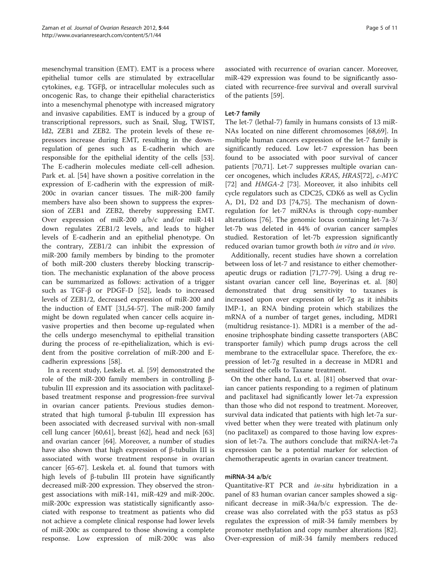mesenchymal transition (EMT). EMT is a process where epithelial tumor cells are stimulated by extracellular cytokines, e.g. TGFβ, or intracellular molecules such as oncogenic Ras, to change their epithelial characteristics into a mesenchymal phenotype with increased migratory and invasive capabilities. EMT is induced by a group of transcriptional repressors, such as Snail, Slug, TWIST, Id2, ZEB1 and ZEB2. The protein levels of these repressors increase during EMT, resulting in the downregulation of genes such as E-cadherin which are responsible for the epithelial identity of the cells [\[53](#page-9-0)]. The E-cadherin molecules mediate cell-cell adhesion. Park et. al. [[54\]](#page-9-0) have shown a positive correlation in the expression of E-cadherin with the expression of miR-200c in ovarian cancer tissues. The miR-200 family members have also been shown to suppress the expression of ZEB1 and ZEB2, thereby suppressing EMT. Over expression of miR-200 a/b/c and/or miR-141 down regulates ZEB1/2 levels, and leads to higher levels of E-cadherin and an epithelial phenotype. On the contrary, ZEB1/2 can inhibit the expression of miR-200 family members by binding to the promoter of both miR-200 clusters thereby blocking transcription. The mechanistic explanation of the above process can be summarized as follows: activation of a trigger such as TGF-β or PDGF-D [[52\]](#page-9-0), leads to increased levels of ZEB1/2, decreased expression of miR-200 and the induction of EMT [[31,](#page-8-0)[54-57](#page-9-0)]. The miR-200 family might be down regulated when cancer cells acquire invasive properties and then become up-regulated when the cells undergo mesenchymal to epithelial transition during the process of re-epithelialization, which is evident from the positive correlation of miR-200 and Ecadherin expressions [\[58\]](#page-9-0).

In a recent study, Leskela et. al. [\[59\]](#page-9-0) demonstrated the role of the miR-200 family members in controlling βtubulin III expression and its association with paclitaxelbased treatment response and progression-free survival in ovarian cancer patients. Previous studies demonstrated that high tumoral β-tubulin III expression has been associated with decreased survival with non-small cell lung cancer [\[60,61](#page-9-0)], breast [\[62](#page-9-0)], head and neck [[63](#page-9-0)] and ovarian cancer [[64\]](#page-9-0). Moreover, a number of studies have also shown that high expression of β-tubulin III is associated with worse treatment response in ovarian cancer [[65](#page-9-0)-[67\]](#page-9-0). Leskela et. al. found that tumors with high levels of β-tubulin III protein have significantly decreased miR-200 expression. They observed the strongest associations with miR-141, miR-429 and miR-200c. miR-200c expression was statistically significantly associated with response to treatment as patients who did not achieve a complete clinical response had lower levels of miR-200c as compared to those showing a complete response. Low expression of miR-200c was also associated with recurrence of ovarian cancer. Moreover, miR-429 expression was found to be significantly associated with recurrence-free survival and overall survival of the patients [[59\]](#page-9-0).

# Let-7 family

The let-7 (lethal-7) family in humans consists of 13 miR-NAs located on nine different chromosomes [[68,69\]](#page-9-0). In multiple human cancers expression of the let-7 family is significantly reduced. Low let-7 expression has been found to be associated with poor survival of cancer patients [\[70,71\]](#page-9-0). Let-7 suppresses multiple ovarian cancer oncogenes, which includes KRAS, HRAS[\[72](#page-9-0)], c-MYC [[72\]](#page-9-0) and HMGA-2 [[73\]](#page-9-0). Moreover, it also inhibits cell cycle regulators such as CDC25, CDK6 as well as Cyclin A, D1, D2 and D3 [[74,75\]](#page-9-0). The mechanism of downregulation for let-7 miRNAs is through copy-number alterations [\[76](#page-9-0)]. The genomic locus containing let-7a-3/ let-7b was deleted in 44% of ovarian cancer samples studied. Restoration of let-7b expression significantly reduced ovarian tumor growth both in vitro and in vivo.

Additionally, recent studies have shown a correlation between loss of let-7 and resistance to either chemotherapeutic drugs or radiation [\[71,77](#page-9-0)-[79\]](#page-9-0). Using a drug resistant ovarian cancer cell line, Boyerinas et. al. [[80](#page-9-0)] demonstrated that drug sensitivity to taxanes is increased upon over expression of let-7g as it inhibits IMP-1, an RNA binding protein which stabilizes the mRNA of a number of target genes, including, MDR1 (multidrug resistance-1). MDR1 is a member of the adenosine triphosphate binding cassette transporters (ABC transporter family) which pump drugs across the cell membrane to the extracellular space. Therefore, the expression of let-7g resulted in a decrease in MDR1 and sensitized the cells to Taxane treatment.

On the other hand, Lu et. al. [\[81\]](#page-9-0) observed that ovarian cancer patients responding to a regimen of platinum and paclitaxel had significantly lower let-7a expression than those who did not respond to treatment. Moreover, survival data indicated that patients with high let-7a survived better when they were treated with platinum only (no paclitaxel) as compared to those having low expression of let-7a. The authors conclude that miRNA-let-7a expression can be a potential marker for selection of chemotherapeutic agents in ovarian cancer treatment.

# miRNA-34 a/b/c

Quantitative-RT PCR and in-situ hybridization in a panel of 83 human ovarian cancer samples showed a significant decrease in miR-34a/b/c expression. The decrease was also correlated with the p53 status as p53 regulates the expression of miR-34 family members by promoter methylation and copy number alterations [\[82](#page-9-0)]. Over-expression of miR-34 family members reduced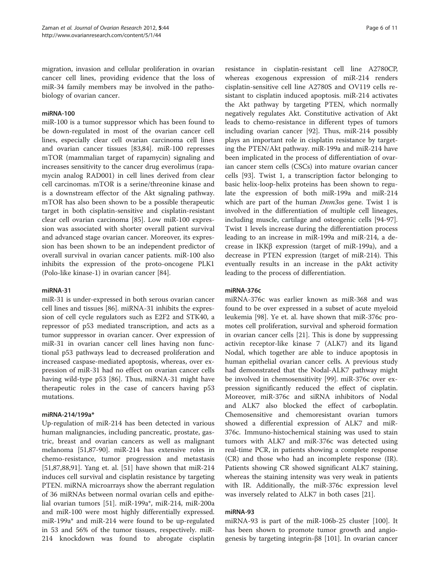migration, invasion and cellular proliferation in ovarian cancer cell lines, providing evidence that the loss of miR-34 family members may be involved in the pathobiology of ovarian cancer.

#### miRNA-100

miR-100 is a tumor suppressor which has been found to be down-regulated in most of the ovarian cancer cell lines, especially clear cell ovarian carcinoma cell lines and ovarian cancer tissues [\[83,84](#page-9-0)]. miR-100 represses mTOR (mammalian target of rapamycin) signaling and increases sensitivity to the cancer drug everolimus (rapamycin analog RAD001) in cell lines derived from clear cell carcinomas. mTOR is a serine/threonine kinase and is a downstream effector of the Akt signaling pathway. mTOR has also been shown to be a possible therapeutic target in both cisplatin-sensitive and cisplatin-resistant clear cell ovarian carcinoma [\[85](#page-9-0)]. Low miR-100 expression was associated with shorter overall patient survival and advanced stage ovarian cancer. Moreover, its expression has been shown to be an independent predictor of overall survival in ovarian cancer patients. miR-100 also inhibits the expression of the proto-oncogene PLK1 (Polo-like kinase-1) in ovarian cancer [\[84\]](#page-9-0).

#### miRNA-31

miR-31 is under-expressed in both serous ovarian cancer cell lines and tissues [[86\]](#page-9-0). miRNA-31 inhibits the expression of cell cycle regulators such as E2F2 and STK40, a repressor of p53 mediated transcription, and acts as a tumor suppressor in ovarian cancer. Over expression of miR-31 in ovarian cancer cell lines having non functional p53 pathways lead to decreased proliferation and increased caspase-mediated apoptosis, whereas, over expression of miR-31 had no effect on ovarian cancer cells having wild-type p53 [[86](#page-9-0)]. Thus, miRNA-31 might have therapeutic roles in the case of cancers having p53 mutations.

### miRNA-214/199a\*

Up-regulation of miR-214 has been detected in various human malignancies, including pancreatic, prostate, gastric, breast and ovarian cancers as well as malignant melanoma [\[51,87](#page-9-0)-[90](#page-10-0)]. miR-214 has extensive roles in chemo-resistance, tumor progression and metastasis [[51,87,88,](#page-9-0)[91\]](#page-10-0). Yang et. al. [\[51\]](#page-9-0) have shown that miR-214 induces cell survival and cisplatin resistance by targeting PTEN. miRNA microarrays show the aberrant regulation of 36 miRNAs between normal ovarian cells and epithelial ovarian tumors [[51\]](#page-9-0). miR-199a\*, miR-214, miR-200a and miR-100 were most highly differentially expressed. miR-199a\* and miR-214 were found to be up-regulated in 53 and 56% of the tumor tissues, respectively. miR-214 knockdown was found to abrogate cisplatin

resistance in cisplatin-resistant cell line A2780CP, whereas exogenous expression of miR-214 renders cisplatin-sensitive cell line A2780S and OV119 cells resistant to cisplatin induced apoptosis. miR-214 activates the Akt pathway by targeting PTEN, which normally negatively regulates Akt. Constitutive activation of Akt leads to chemo-resistance in different types of tumors including ovarian cancer [[92\]](#page-10-0). Thus, miR-214 possibly plays an important role in cisplatin resistance by targeting the PTEN/Akt pathway. miR-199a and miR-214 have been implicated in the process of differentiation of ovarian cancer stem cells (CSCs) into mature ovarian cancer cells [\[93](#page-10-0)]. Twist 1, a transcription factor belonging to basic helix-loop-helix proteins has been shown to regulate the expression of both miR-199a and miR-214 which are part of the human *Dnm3os* gene. Twist 1 is involved in the differentiation of multiple cell lineages, including muscle, cartilage and osteogenic cells [\[94-97](#page-10-0)]. Twist 1 levels increase during the differentiation process leading to an increase in miR-199a and miR-214, a decrease in IKKβ expression (target of miR-199a), and a decrease in PTEN expression (target of miR-214). This eventually results in an increase in the pAkt activity leading to the process of differentiation.

#### miRNA-376c

miRNA-376c was earlier known as miR-368 and was found to be over expressed in a subset of acute myeloid leukemia [\[98\]](#page-10-0). Ye et. al. have shown that miR-376c promotes cell proliferation, survival and spheroid formation in ovarian cancer cells [\[21\]](#page-8-0). This is done by suppressing activin receptor-like kinase 7 (ALK7) and its ligand Nodal, which together are able to induce apoptosis in human epithelial ovarian cancer cells. A previous study had demonstrated that the Nodal-ALK7 pathway might be involved in chemosensitivity [\[99](#page-10-0)]. miR-376c over expression significantly reduced the effect of cisplatin. Moreover, miR-376c and siRNA inhibitors of Nodal and ALK7 also blocked the effect of carboplatin. Chemosensitive and chemoresistant ovarian tumors showed a differential expression of ALK7 and miR-376c. Immuno-histochemical staining was used to stain tumors with ALK7 and miR-376c was detected using real-time PCR, in patients showing a complete response (CR) and those who had an incomplete response (IR). Patients showing CR showed significant ALK7 staining, whereas the staining intensity was very weak in patients with IR. Additionally, the miR-376c expression level was inversely related to ALK7 in both cases [[21\]](#page-8-0).

# miRNA-93

miRNA-93 is part of the miR-106b-25 cluster [[100](#page-10-0)]. It has been shown to promote tumor growth and angiogenesis by targeting integrin-β8 [\[101](#page-10-0)]. In ovarian cancer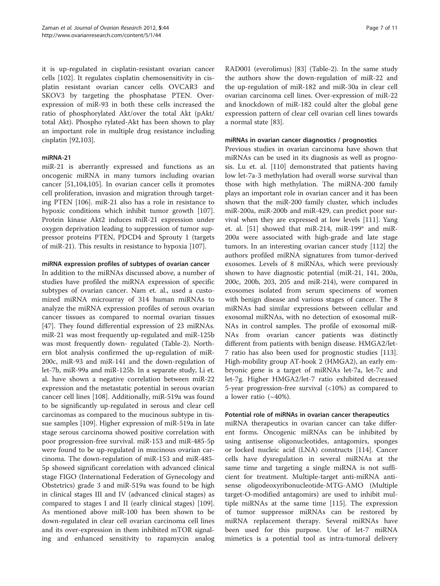it is up-regulated in cisplatin-resistant ovarian cancer cells [\[102\]](#page-10-0). It regulates cisplatin chemosensitivity in cisplatin resistant ovarian cancer cells OVCAR3 and SKOV3 by targeting the phosphatase PTEN. Overexpression of miR-93 in both these cells increased the ratio of phosphorylated Akt/over the total Akt (pAkt/ total Akt). Phospho rylated-Akt has been shown to play an important role in multiple drug resistance including cisplatin [[92,103\]](#page-10-0).

# miRNA-21

miR-21 is aberrantly expressed and functions as an oncogenic miRNA in many tumors including ovarian cancer [\[51](#page-9-0)[,104,105](#page-10-0)]. In ovarian cancer cells it promotes cell proliferation, invasion and migration through targeting PTEN [\[106\]](#page-10-0). miR-21 also has a role in resistance to hypoxic conditions which inhibit tumor growth [\[107](#page-10-0)]. Protein kinase Akt2 induces miR-21 expression under oxygen deprivation leading to suppression of tumor suppressor proteins PTEN, PDCD4 and Sprouty 1 (targets of miR-21). This results in resistance to hypoxia [[107](#page-10-0)].

#### miRNA expression profiles of subtypes of ovarian cancer

In addition to the miRNAs discussed above, a number of studies have profiled the miRNA expression of specific subtypes of ovarian cancer. Nam et. al., used a customized miRNA microarray of 314 human miRNAs to analyze the miRNA expression profiles of serous ovarian cancer tissues as compared to normal ovarian tissues [[47\]](#page-8-0). They found differential expression of 23 miRNAs. miR-21 was most frequently up-regulated and miR-125b was most frequently down- regulated (Table-[2\)](#page-3-0). Northern blot analysis confirmed the up-regulation of miR-200c, miR-93 and miR-141 and the down-regulation of let-7b, miR-99a and miR-125b. In a separate study, Li et. al. have shown a negative correlation between miR-22 expression and the metastatic potential in serous ovarian cancer cell lines [\[108\]](#page-10-0). Additionally, miR-519a was found to be significantly up-regulated in serous and clear cell carcinomas as compared to the mucinous subtype in tissue samples [[109](#page-10-0)]. Higher expression of miR-519a in late stage serous carcinoma showed positive correlation with poor progression-free survival. miR-153 and miR-485-5p were found to be up-regulated in mucinous ovarian carcinoma. The down-regulation of miR-153 and miR-485- 5p showed significant correlation with advanced clinical stage FIGO (International Federation of Gynecology and Obstetrics) grade 3 and miR-519a was found to be high in clinical stages III and IV (advanced clinical stages) as compared to stages I and II (early clinical stages) [\[109](#page-10-0)]. As mentioned above miR-100 has been shown to be down-regulated in clear cell ovarian carcinoma cell lines and its over-expression in them inhibited mTOR signaling and enhanced sensitivity to rapamycin analog

RAD001 (everolimus) [\[83\]](#page-9-0) (Table-[2\)](#page-3-0). In the same study the authors show the down-regulation of miR-22 and the up-regulation of miR-182 and miR-30a in clear cell ovarian carcinoma cell lines. Over-expression of miR-22 and knockdown of miR-182 could alter the global gene expression pattern of clear cell ovarian cell lines towards a normal state [\[83](#page-9-0)].

# miRNAs in ovarian cancer diagnostics / prognostics

Previous studies in ovarian carcinoma have shown that miRNAs can be used in its diagnosis as well as prognosis. Lu et. al. [[110](#page-10-0)] demonstrated that patients having low let-7a-3 methylation had overall worse survival than those with high methylation. The miRNA-200 family plays an important role in ovarian cancer and it has been shown that the miR-200 family cluster, which includes miR-200a, miR-200b and miR-429, can predict poor survival when they are expressed at low levels [[111](#page-10-0)]. Yang et. al. [\[51\]](#page-9-0) showed that miR-214, miR-199\* and miR-200a were associated with high-grade and late stage tumors. In an interesting ovarian cancer study [\[112\]](#page-10-0) the authors profiled miRNA signatures from tumor-derived exosomes. Levels of 8 miRNAs, which were previously shown to have diagnostic potential (miR-21, 141, 200a, 200c, 200b, 203, 205 and miR-214), were compared in exosomes isolated from serum specimens of women with benign disease and various stages of cancer. The 8 miRNAs had similar expressions between cellular and exosomal miRNAs, with no detection of exosomal miR-NAs in control samples. The profile of exosomal miR-NAs from ovarian cancer patients was distinctly different from patients with benign disease. HMGA2/let-7 ratio has also been used for prognostic studies [[113](#page-10-0)]. High-mobility group AT-hook 2 (HMGA2), an early embryonic gene is a target of miRNAs let-7a, let-7c and let-7g. Higher HMGA2/let-7 ratio exhibited decreased 5-year progression-free survival (<10%) as compared to a lower ratio  $(-40\%)$ .

# Potential role of miRNAs in ovarian cancer therapeutics

miRNA therapeutics in ovarian cancer can take different forms. Oncogenic miRNAs can be inhibited by using antisense oligonucleotides, antagomirs, sponges or locked nucleic acid (LNA) constructs [[114\]](#page-10-0). Cancer cells have dysregulation in several miRNAs at the same time and targeting a single miRNA is not sufficient for treatment. Multiple-target anti-miRNA antisense oligodeoxyribonucleotide-MTG-AMO (Multiple target-O-modified antagomirs) are used to inhibit multiple miRNAs at the same time [[115](#page-10-0)]. The expression of tumor suppressor miRNAs can be restored by miRNA replacement therapy. Several miRNAs have been used for this purpose. Use of let-7 miRNA mimetics is a potential tool as intra-tumoral delivery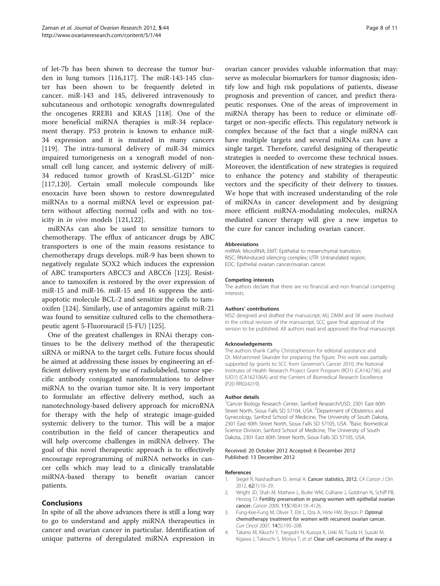<span id="page-7-0"></span>of let-7b has been shown to decrease the tumor burden in lung tumors [[116,117](#page-10-0)]. The miR-143-145 cluster has been shown to be frequently deleted in cancer. miR-143 and 145, delivered intravenously to subcutaneous and orthotopic xenografts downregulated the oncogenes RREB1 and KRAS [\[118\]](#page-10-0). One of the more beneficial miRNA therapies is miR-34 replacement therapy. P53 protein is known to enhance miR-34 expression and it is mutated in many cancers [[119\]](#page-10-0). The intra-tumoral delivery of miR-34 mimics impaired tumorigenesis on a xenograft model of nonsmall cell lung cancer, and systemic delivery of miR-34 reduced tumor growth of KrasLSL-G12D<sup>+</sup> mice [[117,120](#page-10-0)]. Certain small molecule compounds like enoxacin have been shown to restore downregulated miRNAs to a normal miRNA level or expression pattern without affecting normal cells and with no toxicity in in vivo models [[121,122](#page-10-0)].

miRNAs can also be used to sensitize tumors to chemotherapy. The efflux of anticancer drugs by ABC transporters is one of the main reasons resistance to chemotherapy drugs develops. miR-9 has been shown to negatively regulate SOX2 which induces the expression of ABC transporters ABCC3 and ABCC6 [\[123\]](#page-10-0). Resistance to tamoxifen is restored by the over expression of miR-15 and miR-16. miR-15 and 16 suppress the antiapoptotic molecule BCL-2 and sensitize the cells to tamoxifen [\[124\]](#page-10-0). Similarly, use of antagomirs against miR-21 was found to sensitize cultured cells to the chemotherapeutic agent 5-Fluorouracil (5-FU) [\[125](#page-10-0)].

One of the greatest challenges in RNAi therapy continues to be the delivery method of the therapeutic siRNA or miRNA to the target cells. Future focus should be aimed at addressing these issues by engineering an efficient delivery system by use of radiolabeled, tumor specific antibody conjugated nanoformulations to deliver miRNA to the ovarian tumor site. It is very important to formulate an effective delivery method, such as nanotechnology-based delivery approach for microRNA for therapy with the help of strategic image-guided systemic delivery to the tumor. This will be a major contribution in the field of cancer therapeutics and will help overcome challenges in miRNA delivery. The goal of this novel therapeutic approach is to effectively encourage reprogramming of miRNA networks in cancer cells which may lead to a clinically translatable miRNA-based therapy to benefit ovarian cancer patients.

# Conclusions

In spite of all the above advances there is still a long way to go to understand and apply miRNA therapeutics in cancer and ovarian cancer in particular. Identification of unique patterns of deregulated miRNA expression in ovarian cancer provides valuable information that may: serve as molecular biomarkers for tumor diagnosis; identify low and high risk populations of patients, disease prognosis and prevention of cancer, and predict therapeutic responses. One of the areas of improvement in miRNA therapy has been to reduce or eliminate offtarget or non-specific effects. This regulatory network is complex because of the fact that a single miRNA can have multiple targets and several miRNAs can have a single target. Therefore, careful designing of therapeutic strategies is needed to overcome these technical issues. Moreover, the identification of new strategies is required to enhance the potency and stability of therapeutic vectors and the specificity of their delivery to tissues. We hope that with increased understanding of the role of miRNAs in cancer development and by designing more efficient miRNA-modulating molecules, miRNA mediated cancer therapy will give a new impetus to the cure for cancer including ovarian cancer.

#### Abbreviations

miRNA: MicroRNA; EMT: Epithelial to mesenchymal transition; RISC: RNAinduced silencing complex; UTR: Untranslated region; EOC: Epithelial ovarian cancer/ovarian cancer.

#### Competing interests

The authors declare that there are no financial and non financial competing interests.

#### Authors' contributions

MSZ designed and drafted the manuscript; MJ, DMM and SK were involved in the critical revision of the manuscript; SCC gave final approval of the version to be published. All authors read and approved the final manuscript.

#### Acknowledgements

The authors thank Cathy Christopherson for editorial assistance and Dr. Mohammed Sikander for preparing the figure. This work was partially supported by grants to SCC from Governor's Cancer 2010, the National Institutes of Health Research Project Grant Program (RO1) (CA142736), and (UO1) (CA162106A) and the Centers of Biomedical Research Excellence (P20 RR024219).

#### Author details

1 Cancer Biology Research Center, Sanford Research/USD, 2301 East 60th Street North, Sioux Falls SD 57104, USA. <sup>2</sup>Department of Obstetrics and Gynecology, Sanford School of Medicine, The University of South Dakota, 2301 East 60th Street North, Sioux Falls SD 57105, USA. <sup>3</sup>Basic Biomedical Science Division, Sanford School of Medicine, The University of South Dakota, 2301 East 60th Street North, Sioux Falls SD 57105, USA.

#### Received: 20 October 2012 Accepted: 6 December 2012 Published: 13 December 2012

#### References

- 1. Siegel R, Naishadham D, Jemal A: Cancer statistics, 2012. CA Cancer J Clin 2012, 62(1):10–29.
- 2. Wright JD, Shah M, Mathew L, Burke WM, Culhane J, Goldman N, Schiff PB, Herzog TJ: Fertility preservation in young women with epithelial ovarian cancer. Cancer 2009, 115(18):4118–4126.
- 3. Fung-Kee-Fung M, Oliver T, Elit L, Oza A, Hirte HW, Bryson P: Optimal chemotherapy treatment for women with recurrent ovarian cancer. Curr Oncol 2007, 14(5):195–208.
- 4. Takano M, Kikuchi Y, Yaegashi N, Kuzuya K, Ueki M, Tsuda H, Suzuki M, Kigawa J, Takeuchi S, Moriya T, et al: Clear cell carcinoma of the ovary: a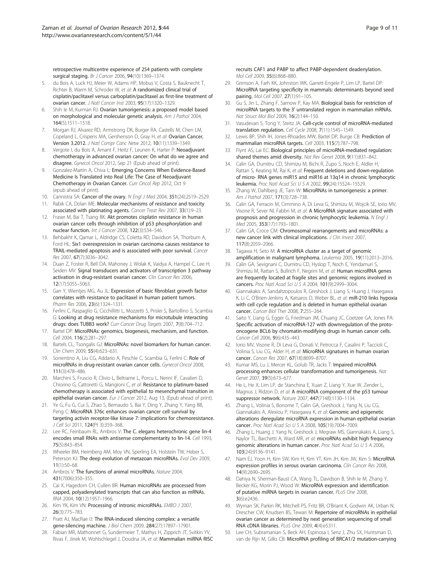<span id="page-8-0"></span>retrospective multicentre experience of 254 patients with complete surgical staging. Br J Cancer 2006, 94(10):1369–1374.

- 5. du Bois A, Luck HJ, Meier W, Adams HP, Mobus V, Costa S, Bauknecht T, Richter B, Warm M, Schroder W, et al: A randomized clinical trial of cisplatin/paclitaxel versus carboplatin/paclitaxel as first-line treatment of ovarian cancer. J Natl Cancer Inst 2003, 95(17):1320–1329.
- 6. Shih Ie M, Kurman RJ: Ovarian tumorigenesis: a proposed model based on morphological and molecular genetic analysis. Am J Pathol 2004, 164(5):1511–1518.
- 7. Morgan RJ, Alvarez RD, Armstrong DK, Burger RA, Castells M, Chen LM, Copeland L, Crispens MA, Gershenson D, Gray H, et al: Ovarian Cancer, Version 3.2012. J Natl Compr Canc Netw 2012, 10(11):1339–1349.
- 8. Vergote I, du Bois A, Amant F, Heitz F, Leunen K, Harter P: Neoadjuvant chemotherapy in advanced ovarian cancer: On what do we agree and disagree. Gynecol Oncol 2012, Sep 21 (Epub ahead of print).
- Gonzalez-Martin A, Chiva L: Emerging Concerns When Evidence-Based Medicine Is Translated into Real Life: The Case of Neoadjuvant Chemotherapy in Ovarian Cancer. Curr Oncol Rep 2012, Oct 9 (epub ahead of print).
- 10. Cannistra SA: Cancer of the ovary. N Engl J Med 2004, 351(24):2519-2529.
- 11. Rabik CA, Dolan ME: Molecular mechanisms of resistance and toxicity associated with platinating agents. Cancer Treat Rev 2007, 33(1):9–23.
- 12. Fraser M, Bai T, Tsang BK: Akt promotes cisplatin resistance in human ovarian cancer cells through inhibition of p53 phosphorylation and nuclear function. Int J Cancer 2008, 122(3):534–546.
- 13. Behbakht K, Qamar L, Aldridge CS, Coletta RD, Davidson SA, Thorburn A, Ford HL: Six1 overexpression in ovarian carcinoma causes resistance to TRAIL-mediated apoptosis and is associated with poor survival. Cancer Res 2007, 67(7):3036–3042.
- 14. Duan Z, Foster R, Bell DA, Mahoney J, Wolak K, Vaidya A, Hampel C, Lee H, Seiden MV: Signal transducers and activators of transcription 3 pathway activation in drug-resistant ovarian cancer. Clin Cancer Res 2006, 12(17):5055–5063.
- 15. Gan Y, Wientjes MG, Au JL: Expression of basic fibroblast growth factor correlates with resistance to paclitaxel in human patient tumors. Pharm Res 2006, 23(6):1324–1331.
- 16. Ferlini C, Raspaglio G, Cicchillitti L, Mozzetti S, Prislei S, Bartollino S, Scambia G: Looking at drug resistance mechanisms for microtubule interacting drugs: does TUBB3 work? Curr Cancer Drug Targets 2007, 7(8):704-712.
- 17. Bartel DP: MicroRNAs: genomics, biogenesis, mechanism, and function. Cell 2004, 116(2):281–297.
- 18. Bartels CL, Tsongalis GJ: MicroRNAs: novel biomarkers for human cancer. Clin Chem 2009, 55(4):623–631.
- 19. Sorrentino A, Liu CG, Addario A, Peschle C, Scambia G, Ferlini C: Role of microRNAs in drug-resistant ovarian cancer cells. Gynecol Oncol 2008, 111(3):478–486.
- 20. Marchini S, Fruscio R, Clivio L, Beltrame L, Porcu L, Nerini IF, Cavalieri D, Chiorino G, Cattoretti G, Mangioni C, et al: Resistance to platinum-based chemotherapy is associated with epithelial to mesenchymal transition in epithelial ovarian cancer. Eur J Cancer 2012, Aug 13, (Epub ahead of print).
- 21. Ye G, Fu G, Cui S, Zhao S, Bernaudo S, Bai Y, Ding Y, Zhang Y, Yang BB, Peng C: MicroRNA 376c enhances ovarian cancer cell survival by targeting activin receptor-like kinase 7: implications for chemoresistance. J Cell Sci 2011, 124(Pt 3):359–368.
- 22. Lee RC, Feinbaum RL, Ambros V: The C. elegans heterochronic gene lin-4 encodes small RNAs with antisense complementarity to lin-14. Cell 1993, 75(5):843–854.
- 23. Wheeler BM, Heimberg AM, Moy VN, Sperling EA, Holstein TW, Heber S, Peterson KJ: The deep evolution of metazoan microRNAs. Evol Dev 2009, 11(1):50–68.
- 24. Ambros V: The functions of animal microRNAs. Nature 2004, 431(7006):350–355.
- 25. Cai X, Hagedorn CH, Cullen BR: Human microRNAs are processed from capped, polyadenylated transcripts that can also function as mRNAs. RNA 2004, 10(12):1957–1966.
- 26. Kim YK, Kim VN: Processing of intronic microRNAs. EMBO J 2007, 26(3):775–783.
- 27. Pratt AJ, MacRae IJ: The RNA-induced silencing complex: a versatile gene-silencing machine. J Biol Chem 2009, 284(27):17897–17901.
- 28. Fabian MR, Mathonnet G, Sundermeier T, Mathys H, Zipprich JT, Svitkin YV, Rivas F, Jinek M, Wohlschlegel J, Doudna JA, et al: Mammalian miRNA RISC

recruits CAF1 and PABP to affect PABP-dependent deadenylation. Mol Cell 2009, 35(6):868–880.

- 29. Grimson A, Farh KK, Johnston WK, Garrett-Engele P, Lim LP, Bartel DP: MicroRNA targeting specificity in mammals: determinants beyond seed pairing. Mol Cell 2007, 27(1):91–105.
- 30. Gu S, Jin L, Zhang F, Sarnow P, Kay MA: Biological basis for restriction of microRNA targets to the 3' untranslated region in mammalian mRNAs. Nat Struct Mol Biol 2009, 16(2):144–150.
- 31. Vasudevan S, Tong Y, Steitz JA: Cell-cycle control of microRNA-mediated translation regulation. Cell Cycle 2008, 7(11):1545–1549.
- 32. Lewis BP, Shih IH, Jones-Rhoades MW, Bartel DP, Burge CB: Prediction of mammalian microRNA targets. Cell 2003, 115(7):787–798.
- 33. Flynt AS, Lai EC: Biological principles of microRNA-mediated regulation: shared themes amid diversity. Nat Rev Genet 2008, 9(11):831–842.
- 34. Calin GA, Dumitru CD, Shimizu M, Bichi R, Zupo S, Noch E, Aldler H, Rattan S, Keating M, Rai K, et al: Frequent deletions and down-regulation of micro- RNA genes miR15 and miR16 at 13q14 in chronic lymphocytic leukemia. Proc Natl Acad Sci U S A 2002, 99(24):15524–15529.
- 35. Zhang W, Dahlberg JE, Tam W: MicroRNAs in tumorigenesis: a primer. Am J Pathol 2007, 171(3):728–738.
- 36. Calin GA, Ferracin M, Cimmino A, Di Leva G, Shimizu M, Wojcik SE, Iorio MV, Visone R, Sever NI, Fabbri M, et al: A MicroRNA signature associated with prognosis and progression in chronic lymphocytic leukemia. N Engl J Med 2005, 353(17):1793–1801.
- 37. Calin GA, Croce CM: Chromosomal rearrangements and microRNAs: a new cancer link with clinical implications. J Clin Invest 2007, 117(8):2059–2066.
- 38. Tagawa H, Seto M: A microRNA cluster as a target of genomic amplification in malignant lymphoma. Leukemia 2005, 19(11):2013–2016.
- 39. Calin GA, Sevignani C, Dumitru CD, Hyslop T, Noch E, Yendamuri S, Shimizu M, Rattan S, Bullrich F, Negrini M, et al: Human microRNA genes are frequently located at fragile sites and genomic regions involved in cancers. Proc Natl Acad Sci U S A 2004, 101(9):2999–3004.
- 40. Giannakakis A, Sandaltzopoulos R, Greshock J, Liang S, Huang J, Hasegawa K, Li C, O'Brien-Jenkins A, Katsaros D, Weber BL, et al: miR-210 links hypoxia with cell cycle regulation and is deleted in human epithelial ovarian cancer. Cancer Biol Ther 2008, 7:255-264.
- 41. Saito Y, Liang G, Egger G, Friedman JM, Chuang JC, Coetzee GA, Jones PA: Specific activation of microRNA-127 with downregulation of the protooncogene BCL6 by chromatin-modifying drugs in human cancer cells. Cancer Cell 2006, 9(6):435–443.
- 42. Iorio MV, Visone R, Di Leva G, Donati V, Petrocca F, Casalini P, Taccioli C, Volinia S, Liu CG, Alder H, et al: MicroRNA signatures in human ovarian cancer. Cancer Res 2007, 67(18):8699–8707.
- 43. Kumar MS, Lu J, Mercer KL, Golub TR, Jacks T: Impaired microRNA processing enhances cellular transformation and tumorigenesis. Nat Genet 2007, 39(5):673–677.
- 44. He L, He X, Lim LP, de Stanchina E, Xuan Z, Liang Y, Xue W, Zender L, Magnus J, Ridzon D, et al: A microRNA component of the p53 tumour suppressor network. Nature 2007, 447(7148):1130–1134.
- 45. Zhang L, Volinia S, Bonome T, Calin GA, Greshock J, Yang N, Liu CG, Giannakakis A, Alexiou P, Hasegawa K, et al: Genomic and epigenetic alterations deregulate microRNA expression in human epithelial ovarian cancer. Proc Natl Acad Sci U S A 2008, 105(19):7004–7009.
- 46. Zhang L, Huang J, Yang N, Greshock J, Megraw MS, Giannakakis A, Liang S, Naylor TL, Barchetti A, Ward MR, et al: microRNAs exhibit high frequency genomic alterations in human cancer. Proc Natl Acad Sci U S A 2006, 103(24):9136–9141.
- 47. Nam EJ, Yoon H, Kim SW, Kim H, Kim YT, Kim JH, Kim JW, Kim S: MicroRNA expression profiles in serous ovarian carcinoma. Clin Cancer Res 2008, 14(9):2690–2695.
- 48. Dahiya N, Sherman-Baust CA, Wang TL, Davidson B, Shih Ie M, Zhang Y, Becker KG, Morin PJ, Wood W: MicroRNA expression and identification of putative miRNA targets in ovarian cancer. PLoS One 2008, 3(6):e2436.
- 49. Wyman SK, Parkin RK, Mitchell PS, Fritz BR, O'Briant K, Godwin AK, Urban N, Drescher CW, Knudsen BS, Tewari M: Repertoire of microRNAs in epithelial ovarian cancer as determined by next generation sequencing of small RNA cDNA libraries. PLoS One 2009, 4(4):e5311.
- 50. Lee CH, Subramanian S, Beck AH, Espinosa I, Senz J, Zhu SX, Huntsman D, van de Rijn M, Gilks CB: MicroRNA profiling of BRCA1/2 mutation-carrying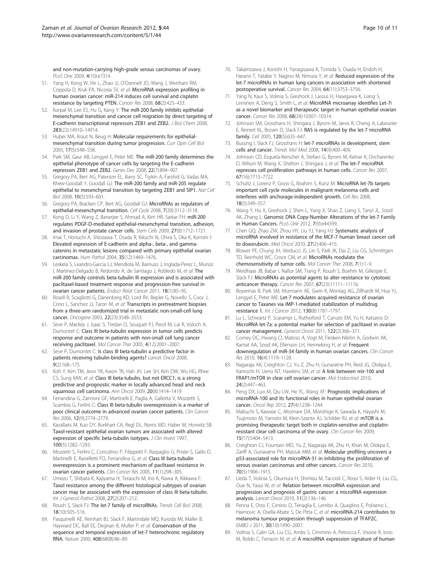<span id="page-9-0"></span>and non-mutation-carrying high-grade serous carcinomas of ovary. PLoS One 2009, 4(10):e7314.

- 51. Yang H, Kong W, He L, Zhao JJ, O'Donnell JD, Wang J, Wenham RM, Coppola D, Kruk PA, Nicosia SV, et al: MicroRNA expression profiling in human ovarian cancer: miR-214 induces cell survival and cisplatin resistance by targeting PTEN. Cancer Res 2008, 68(2):425–433.
- 52. Korpal M, Lee ES, Hu G, Kang Y: The miR-200 family inhibits epithelialmesenchymal transition and cancer cell migration by direct targeting of E-cadherin transcriptional repressors ZEB1 and ZEB2. J Biol Chem 2008, 283(22):14910–14914.
- 53. Huber MA, Kraut N, Beug H: Molecular requirements for epithelialmesenchymal transition during tumor progression. Curr Opin Cell Biol 2005, 17(5):548–558.
- 54. Park SM, Gaur AB, Lengyel E, Peter ME: The miR-200 family determines the epithelial phenotype of cancer cells by targeting the E-cadherin repressors ZEB1 and ZEB2. Genes Dev 2008, 22(7):894–907.
- 55. Gregory PA, Bert AG, Paterson EL, Barry SC, Tsykin A, Farshid G, Vadas MA, Khew-Goodall Y, Goodall GJ: The miR-200 family and miR-205 regulate epithelial to mesenchymal transition by targeting ZEB1 and SIP1. Nat Cell Biol 2008, 10(5):593–601.
- 56. Gregory PA, Bracken CP, Bert AG, Goodall GJ: MicroRNAs as regulators of epithelial-mesenchymal transition. Cell Cycle 2008, 7(20):3112–3118.
- 57. Kong D, Li Y, Wang Z, Banerjee S, Ahmad A, Kim HR, Sarkar FH: miR-200 regulates PDGF-D-mediated epithelial-mesenchymal transition, adhesion, and invasion of prostate cancer cells. Stem Cells 2009, 27(8):1712–1721.
- 58. Imai T, Horiuchi A, Shiozawa T, Osada R, Kikuchi N, Ohira S, Oka K, Konishi I: Elevated expression of E-cadherin and alpha-, beta-, and gammacatenins in metastatic lesions compared with primary epithelial ovarian carcinomas. Hum Pathol 2004, 35(12):1469–1476.
- 59. Leskela S, Leandro-Garcia LJ, Mendiola M, Barriuso J, Inglada-Perez L, Munoz I, Martinez-Delgado B, Redondo A, de Santiago J, Robledo M, et al: The miR-200 family controls beta-tubulin III expression and is associated with paclitaxel-based treatment response and progression-free survival in ovarian cancer patients. Endocr Relat Cancer 2011, 18(1):85–95.
- 60. Rosell R, Scagliotti G, Danenberg KD, Lord RV, Bepler G, Novello S, Cooc J, Crino L, Sanchez JJ, Taron M, et al: Transcripts in pretreatment biopsies from a three-arm randomized trial in metastatic non-small-cell lung cancer. Oncogene 2003, 22(23):3548–3553.
- 61. Seve P, Mackey J, Isaac S, Tredan O, Souquet PJ, Perol M, Lai R, Voloch A, Dumontet C: Class III beta-tubulin expression in tumor cells predicts response and outcome in patients with non-small cell lung cancer receiving paclitaxel. Mol Cancer Ther 2005, 4(12):2001–2007.
- 62. Seve P, Dumontet C: Is class III beta-tubulin a predictive factor in patients receiving tubulin-binding agents? Lancet Oncol 2008, 9(2):168–175.
- 63. Koh Y, Kim TM, Jeon YK, Kwon TK, Hah JH, Lee SH, Kim DW, Wu HG, Rhee CS, Sung MW, et al: Class III beta-tubulin, but not ERCC1, is a strong predictive and prognostic marker in locally advanced head and neck squamous cell carcinoma. Ann Oncol 2009, 20(8):1414–1419.
- 64. Ferrandina G, Zannoni GF, Martinelli E, Paglia A, Gallotta V, Mozzetti S, Scambia G, Ferlini C: Class III beta-tubulin overexpression is a marker of poor clinical outcome in advanced ovarian cancer patients. Clin Cancer Res 2006, 12(9):2774–2779.
- 65. Kavallaris M, Kuo DY, Burkhart CA, Regl DL, Norris MD, Haber M, Horwitz SB: Taxol-resistant epithelial ovarian tumors are associated with altered expression of specific beta-tubulin isotypes. J Clin Invest 1997, 100(5):1282–1293.
- 66. Mozzetti S, Ferlini C, Concolino P, Filippetti F, Raspaglio G, Prislei S, Gallo D, Martinelli E, Ranelletti FO, Ferrandina G, et al: Class III beta-tubulin overexpression is a prominent mechanism of paclitaxel resistance in ovarian cancer patients. Clin Cancer Res 2005, 11(1):298–305.
- 67. Umezu T, Shibata K, Kajiyama H, Terauchi M, Ino K, Nawa A, Kikkawa F: Taxol resistance among the different histological subtypes of ovarian cancer may be associated with the expression of class III beta-tubulin. Int J Gynecol Pathol 2008, 27(2):207–212.
- 68. Roush S, Slack FJ: The let-7 family of microRNAs. Trends Cell Biol 2008, 18(10):505–516.
- 69. Pasquinelli AE, Reinhart BJ, Slack F, Martindale MQ, Kuroda MI, Maller B, Hayward DC, Ball EE, Degnan B, Muller P, et al: Conservation of the sequence and temporal expression of let-7 heterochronic regulatory RNA. Nature 2000, 408(6808):86–89.
- 70. Takamizawa J, Konishi H, Yanagisawa K, Tomida S, Osada H, Endoh H, Harano T, Yatabe Y, Nagino M, Nimura Y, et al: Reduced expression of the let-7 microRNAs in human lung cancers in association with shortened postoperative survival. Cancer Res 2004, 64(11):3753–3756.
- 71. Yang N, Kaur S, Volinia S, Greshock J, Lassus H, Hasegawa K, Liang S, Leminen A, Deng S, Smith L, et al: MicroRNA microarray identifies Let-7i as a novel biomarker and therapeutic target in human epithelial ovarian cancer. Cancer Res 2008, 68(24):10307–10314.
- 72. Johnson SM, Grosshans H, Shingara J, Byrom M, Jarvis R, Cheng A, Labourier E, Reinert KL, Brown D, Slack FJ: RAS is regulated by the let-7 microRNA family. Cell 2005, 120(5):635–647.
- 73. Bussing I, Slack FJ, Grosshans H: let-7 microRNAs in development, stem cells and cancer. Trends Mol Med 2008, 14(9):400–409.
- 74. Johnson CD, Esquela-Kerscher A, Stefani G, Byrom M, Kelnar K, Ovcharenko D, Wilson M, Wang X, Shelton J, Shingara J, et al: The let-7 microRNA represses cell proliferation pathways in human cells. Cancer Res 2007, 67(16):7713–7722.
- Schultz J, Lorenz P, Gross G, Ibrahim S, Kunz M: MicroRNA let-7b targets important cell cycle molecules in malignant melanoma cells and interferes with anchorage-independent growth. Cell Res 2008, 18(5):549–557.
- 76. Wang Y, Hu X, Greshock J, Shen L, Yang X, Shao Z, Liang S, Tanyi JL, Sood AK, Zhang L: Genomic DNA Copy-Number Alterations of the let-7 Family in Human Cancers. PLoS One 2012, 7(9):e44399.
- 77. Chen GQ, Zhao ZW, Zhou HY, Liu YJ, Yang HJ: Systematic analysis of microRNA involved in resistance of the MCF-7 human breast cancer cell to doxorubicin. Med Oncol 2010, 27(2):406–415.
- 78. Blower PE, Chung JH, Verducci JS, Lin S, Park JK, Dai Z, Liu CG, Schmittgen TD, Reinhold WC, Croce CM, et al: MicroRNAs modulate the chemosensitivity of tumor cells. Mol Cancer Ther 2008, 7(1):1–9.
- 79. Weidhaas JB, Babar I, Nallur SM, Trang P, Roush S, Boehm M, Gillespie E, Slack FJ: MicroRNAs as potential agents to alter resistance to cytotoxic anticancer therapy. Cancer Res 2007, 67(23):11111–11116.
- 80. Boyerinas B, Park SM, Murmann AE, Gwin K, Montag AG, Zillhardt M, Hua YJ, Lengyel E, Peter ME: Let-7 modulates acquired resistance of ovarian cancer to Taxanes via IMP-1-mediated stabilization of multidrug resistance 1. Int J Cancer 2012, 130(8):1787–1797.
- 81. Lu L, Schwartz P, Scarampi L, Rutherford T, Canuto EM, Yu H, Katsaros D: MicroRNA let-7a: a potential marker for selection of paclitaxel in ovarian cancer management. Gynecol Oncol 2011, 122(2):366–371.
- 82. Corney DC, Hwang CI, Matoso A, Vogt M, Flesken-Nikitin A, Godwin AK, Kamat AA, Sood AK, Ellenson LH, Hermeking H, et al: Frequent downregulation of miR-34 family in human ovarian cancers. Clin Cancer Res 2010, 16(4):1119–1128.
- 83. Nagaraja AK, Creighton CJ, Yu Z, Zhu H, Gunaratne PH, Reid JG, Olokpa E, Itamochi H, Ueno NT, Hawkins SM, et al: A link between mir-100 and FRAP1/mTOR in clear cell ovarian cancer. Mol Endocrinol 2010, 24(2):447–463.
- 84. Peng DX, Luo M, Qiu LW, He YL, Wang XF: Prognostic implications of microRNA-100 and its functional roles in human epithelial ovarian cancer. Oncol Rep 2012, 27(4):1238–1244.
- 85. Mabuchi S, Kawase C, Altomare DA, Morishige K, Sawada K, Hayashi M, Tsujimoto M, Yamoto M, Klein-Szanto AJ, Schilder RJ, et al: mTOR is a promising therapeutic target both in cisplatin-sensitive and cisplatinresistant clear cell carcinoma of the ovary. Clin Cancer Res 2009, 15(17):5404–5413.
- 86. Creighton CJ, Fountain MD, Yu Z, Nagaraja AK, Zhu H, Khan M, Olokpa E, Zariff A, Gunaratne PH, Matzuk MM, et al: Molecular profiling uncovers a p53-associated role for microRNA-31 in inhibiting the proliferation of serous ovarian carcinomas and other cancers. Cancer Res 2010, 70(5):1906–1915.
- 87. Ueda T, Volinia S, Okumura H, Shimizu M, Taccioli C, Rossi S, Alder H, Liu CG, Oue N, Yasui W, et al: Relation between microRNA expression and progression and prognosis of gastric cancer: a microRNA expression analysis. Lancet Oncol 2010, 11(2):136–146.
- 88. Penna E, Orso F, Cimino D, Tenaglia E, Lembo A, Quaglino E, Poliseno L, Haimovic A, Osella-Abate S, De Pitta C, et al: microRNA-214 contributes to melanoma tumour progression through suppression of TFAP2C. EMBO J 2011, 30(10):1990–2007.
- 89. Volinia S, Calin GA, Liu CG, Ambs S, Cimmino A, Petrocca F, Visone R, Iorio M, Roldo C, Ferracin M, et al: A microRNA expression signature of human